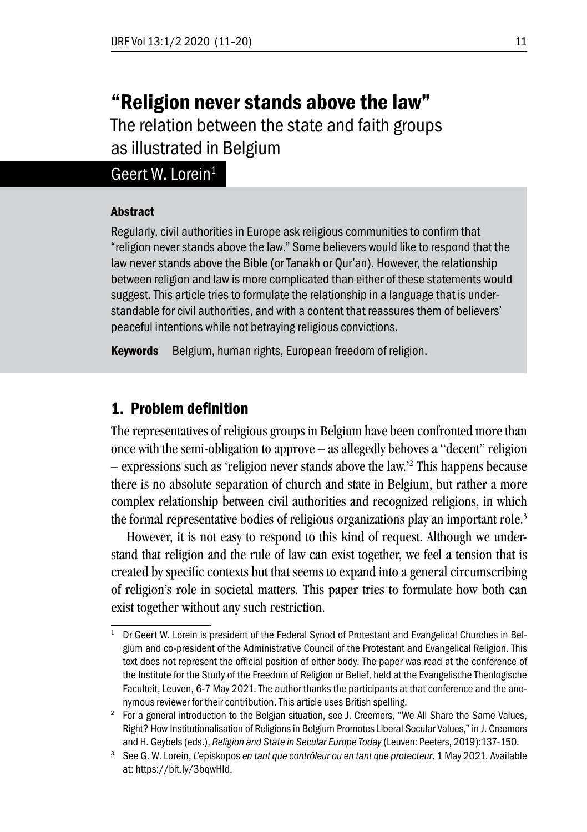# "Religion never stands above the law" The relation between the state and faith groups

as illustrated in Belgium

# Geert W. Lorein<sup>1</sup>

#### Abstract

Regularly, civil authorities in Europe ask religious communities to confirm that "religion never stands above the law." Some believers would like to respond that the law never stands above the Bible (or Tanakh or Qur'an). However, the relationship between religion and law is more complicated than either of these statements would suggest. This article tries to formulate the relationship in a language that is understandable for civil authorities, and with a content that reassures them of believers' peaceful intentions while not betraying religious convictions.

Keywords Belgium, human rights, European freedom of religion.

## 1. Problem definition

The representatives of religious groups in Belgium have been confronted more than once with the semi-obligation to approve – as allegedly behoves a "decent" religion – expressions such as 'religion never stands above the law.'2 This happens because there is no absolute separation of church and state in Belgium, but rather a more complex relationship between civil authorities and recognized religions, in which the formal representative bodies of religious organizations play an important role.3

However, it is not easy to respond to this kind of request. Although we understand that religion and the rule of law can exist together, we feel a tension that is created by specific contexts but that seems to expand into a general circumscribing of religion's role in societal matters. This paper tries to formulate how both can exist together without any such restriction.

<sup>&</sup>lt;sup>1</sup> Dr Geert W. Lorein is president of the Federal Synod of Protestant and Evangelical Churches in Belgium and co-president of the Administrative Council of the Protestant and Evangelical Religion. This text does not represent the official position of either body. The paper was read at the conference of the Institute for the Study of the Freedom of Religion or Belief, held at the Evangelische Theologische Faculteit, Leuven, 6-7 May 2021. The author thanks the participants at that conference and the anonymous reviewer for their contribution. This article uses British spelling.

<sup>2</sup> For a general introduction to the Belgian situation, see J. Creemers, "We All Share the Same Values, Right? How Institutionalisation of Religions in Belgium Promotes Liberal Secular Values," in J. Creemers and H. Geybels (eds.), *Religion and State in Secular Europe Today* (Leuven: Peeters, 2019):137-150.

<sup>3</sup> See G. W. Lorein, *L'*episkopos *en tant que contrôleur ou en tant que protecteur*. 1 May 2021. Available at: https://bit.ly/3bqwHld.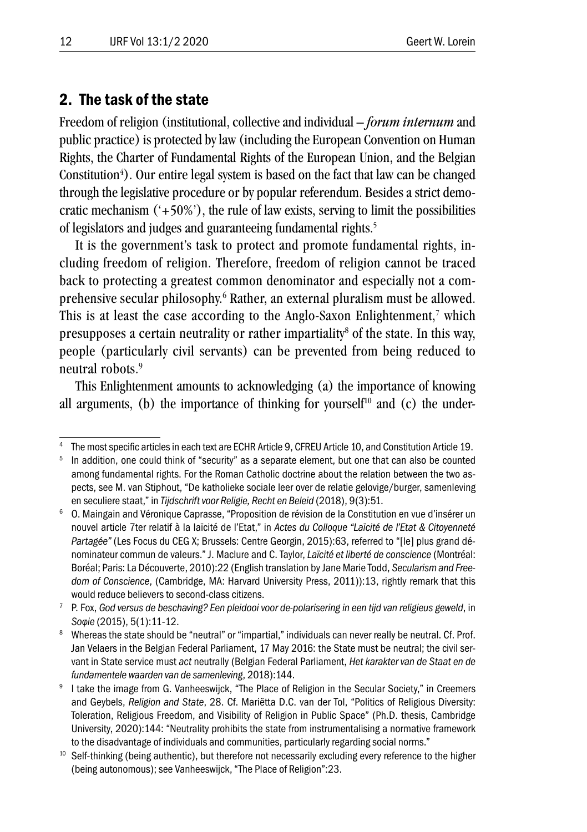#### 2. The task of the state

Freedom of religion (institutional, collective and individual – *forum internum* and public practice) is protected by law (including the European Convention on Human Rights, the Charter of Fundamental Rights of the European Union, and the Belgian Constitution<sup>4</sup>). Our entire legal system is based on the fact that law can be changed through the legislative procedure or by popular referendum. Besides a strict democratic mechanism  $(+50\%)$ , the rule of law exists, serving to limit the possibilities of legislators and judges and guaranteeing fundamental rights.<sup>5</sup>

It is the government's task to protect and promote fundamental rights, including freedom of religion. Therefore, freedom of religion cannot be traced back to protecting a greatest common denominator and especially not a comprehensive secular philosophy.<sup>6</sup> Rather, an external pluralism must be allowed. This is at least the case according to the Anglo-Saxon Enlightenment, $7$  which presupposes a certain neutrality or rather impartiality<sup>8</sup> of the state. In this way, people (particularly civil servants) can be prevented from being reduced to neutral robots.9

This Enlightenment amounts to acknowledging (a) the importance of knowing all arguments, (b) the importance of thinking for yourself<sup>10</sup> and (c) the under-

<sup>4</sup> The most specific articles in each text are ECHR Article 9, CFREU Article 10, and Constitution Article 19.

In addition, one could think of "security" as a separate element, but one that can also be counted among fundamental rights. For the Roman Catholic doctrine about the relation between the two aspects, see M. van Stiphout, "De katholieke sociale leer over de relatie gelovige/burger, samenleving en seculiere staat," in *Tijdschrift voor Religie, Recht en Beleid* (2018), 9(3):51.

<sup>6</sup> O. Maingain and Véronique Caprasse, "Proposition de révision de la Constitution en vue d'insérer un nouvel article 7ter relatif à la laïcité de l'Etat," in *Actes du Colloque "Laïcité de l'Etat & Citoyenneté Partagée"* (Les Focus du CEG X; Brussels: Centre Georgin, 2015):63, referred to "[le] plus grand dénominateur commun de valeurs." J. Maclure and C. Taylor, *Laïcité et liberté de conscience* (Montréal: Boréal; Paris: La Découverte, 2010):22 (English translation by Jane Marie Todd, *Secularism and Freedom of Conscience*, (Cambridge, MA: Harvard University Press, 2011)):13, rightly remark that this would reduce believers to second-class citizens.

<sup>7</sup> P. Fox, *God versus de beschaving? Een pleidooi voor de-polarisering in een tijd van religieus geweld*, in *Soφie* (2015), 5(1):11-12.

<sup>&</sup>lt;sup>8</sup> Whereas the state should be "neutral" or "impartial," individuals can never really be neutral. Cf. Prof. Jan Velaers in the Belgian Federal Parliament, 17 May 2016: the State must be neutral; the civil servant in State service must *act* neutrally (Belgian Federal Parliament, *Het karakter van de Staat en de fundamentele waarden van de samenleving*, 2018):144.

<sup>9</sup> I take the image from G. Vanheeswijck, "The Place of Religion in the Secular Society," in Creemers and Geybels, *Religion and State*, 28. Cf. Mariëtta D.C. van der Tol, "Politics of Religious Diversity: Toleration, Religious Freedom, and Visibility of Religion in Public Space" (Ph.D. thesis, Cambridge University, 2020):144: "Neutrality prohibits the state from instrumentalising a normative framework to the disadvantage of individuals and communities, particularly regarding social norms."

Self-thinking (being authentic), but therefore not necessarily excluding every reference to the higher (being autonomous); see Vanheeswijck, "The Place of Religion":23.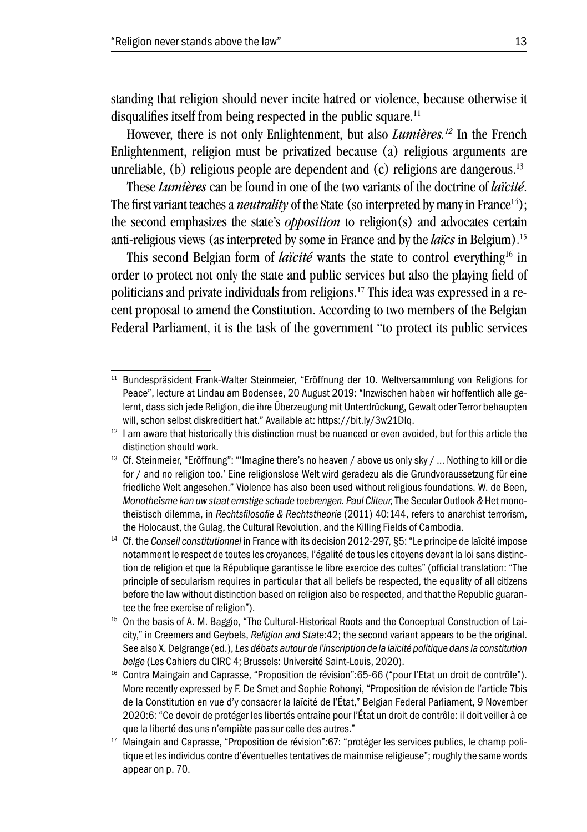standing that religion should never incite hatred or violence, because otherwise it disqualifies itself from being respected in the public square.<sup>11</sup>

However, there is not only Enlightenment, but also *Lumières.12* In the French Enlightenment, religion must be privatized because (a) religious arguments are unreliable, (b) religious people are dependent and (c) religions are dangerous.<sup>13</sup>

These *Lumières* can be found in one of the two variants of the doctrine of *laïcité*. The first variant teaches a *neutrality* of the State (so interpreted by many in France<sup>14</sup>); the second emphasizes the state's *opposition* to religion(s) and advocates certain anti-religious views (as interpreted by some in France and by the *laïcs* in Belgium).15

This second Belgian form of *laïcité* wants the state to control everything<sup>16</sup> in order to protect not only the state and public services but also the playing field of politicians and private individuals from religions.17 This idea was expressed in a recent proposal to amend the Constitution. According to two members of the Belgian Federal Parliament, it is the task of the government "to protect its public services

<sup>11</sup> Bundespräsident Frank-Walter Steinmeier, "Eröffnung der 10. Weltversammlung von Religions for Peace", lecture at Lindau am Bodensee, 20 August 2019: "Inzwischen haben wir hoffentlich alle gelernt, dass sich jede Religion, die ihre Überzeugung mit Unterdrückung, Gewalt oder Terror behaupten will, schon selbst diskreditiert hat." Available at: https://bit.ly/3w21Dlq.

 $12$  I am aware that historically this distinction must be nuanced or even avoided, but for this article the distinction should work.

<sup>&</sup>lt;sup>13</sup> Cf. Steinmeier, "Eröffnung": "'Imagine there's no heaven / above us only sky / ... Nothing to kill or die for / and no religion too.' Eine religionslose Welt wird geradezu als die Grundvoraussetzung für eine friedliche Welt angesehen." Violence has also been used without religious foundations. W. de Been, *Monotheïsme kan uw staat ernstige schade toebrengen. Paul Cliteur,* The Secular Outlook *&* Het monotheïstisch dilemma, in *Rechtsfilosofie & Rechtstheorie* (2011) 40:144, refers to anarchist terrorism, the Holocaust, the Gulag, the Cultural Revolution, and the Killing Fields of Cambodia.

<sup>&</sup>lt;sup>14</sup> Cf. the *Conseil constitutionnel* in France with its decision 2012-297, §5: "Le principe de laïcité impose notamment le respect de toutes les croyances, l'égalité de tous les citoyens devant la loi sans distinction de religion et que la République garantisse le libre exercice des cultes" (official translation: "The principle of secularism requires in particular that all beliefs be respected, the equality of all citizens before the law without distinction based on religion also be respected, and that the Republic guarantee the free exercise of religion").

<sup>15</sup> On the basis of A. M. Baggio, "The Cultural-Historical Roots and the Conceptual Construction of Laicity," in Creemers and Geybels, *Religion and State*:42; the second variant appears to be the original. See also X. Delgrange (ed.), *Les débats autour de l'inscription de la laïcité politique dans la constitution belge* (Les Cahiers du CIRC 4; Brussels: Université Saint-Louis, 2020).

<sup>&</sup>lt;sup>16</sup> Contra Maingain and Caprasse, "Proposition de révision": 65-66 ("pour l'Etat un droit de contrôle"). More recently expressed by F. De Smet and Sophie Rohonyi, "Proposition de révision de l'article 7bis de la Constitution en vue d'y consacrer la laïcité de l'État," Belgian Federal Parliament, 9 November 2020:6: "Ce devoir de protéger les libertés entraîne pour l'État un droit de contrôle: il doit veiller à ce que la liberté des uns n'empiète pas sur celle des autres."

<sup>&</sup>lt;sup>17</sup> Maingain and Caprasse, "Proposition de révision":67: "protéger les services publics, le champ politique et les individus contre d'éventuelles tentatives de mainmise religieuse"; roughly the same words appear on p. 70.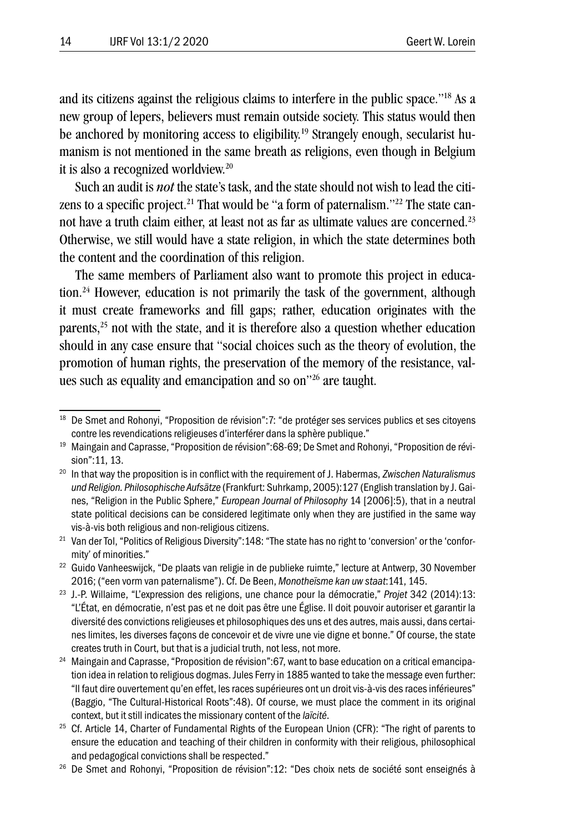and its citizens against the religious claims to interfere in the public space."18 As a new group of lepers, believers must remain outside society. This status would then be anchored by monitoring access to eligibility.19 Strangely enough, secularist humanism is not mentioned in the same breath as religions, even though in Belgium it is also a recognized worldview.20

Such an audit is *not* the state's task, and the state should not wish to lead the citizens to a specific project.<sup>21</sup> That would be "a form of paternalism."<sup>22</sup> The state cannot have a truth claim either, at least not as far as ultimate values are concerned.<sup>23</sup> Otherwise, we still would have a state religion, in which the state determines both the content and the coordination of this religion.

The same members of Parliament also want to promote this project in education.<sup>24</sup> However, education is not primarily the task of the government, although it must create frameworks and fill gaps; rather, education originates with the parents, $25$  not with the state, and it is therefore also a question whether education should in any case ensure that "social choices such as the theory of evolution, the promotion of human rights, the preservation of the memory of the resistance, values such as equality and emancipation and so on"26 are taught.

<sup>&</sup>lt;sup>18</sup> De Smet and Rohonyi, "Proposition de révision": 7: "de protéger ses services publics et ses citoyens contre les revendications religieuses d'interférer dans la sphère publique."

<sup>19</sup> Maingain and Caprasse, "Proposition de révision":68-69; De Smet and Rohonyi, "Proposition de révision":11, 13.

<sup>20</sup> In that way the proposition is in conflict with the requirement of J. Habermas, *Zwischen Naturalismus und Religion. Philosophische Aufsätze* (Frankfurt: Suhrkamp, 2005):127 (English translation by J. Gaines, "Religion in the Public Sphere," *European Journal of Philosophy* 14 [2006]:5), that in a neutral state political decisions can be considered legitimate only when they are justified in the same way vis-à-vis both religious and non-religious citizens.

<sup>&</sup>lt;sup>21</sup> Van der Tol, "Politics of Religious Diversity": 148: "The state has no right to 'conversion' or the 'conformity' of minorities."

<sup>&</sup>lt;sup>22</sup> Guido Vanheeswijck, "De plaats van religie in de publieke ruimte," lecture at Antwerp, 30 November 2016; ("een vorm van paternalisme"). Cf. De Been, *Monotheïsme kan uw staat*:141, 145.

<sup>23</sup> J.-P. Willaime, "L'expression des religions, une chance pour la démocratie," *Projet* 342 (2014):13: "L'État, en démocratie, n'est pas et ne doit pas être une Église. Il doit pouvoir autoriser et garantir la diversité des convictions religieuses et philosophiques des uns et des autres, mais aussi, dans certaines limites, les diverses façons de concevoir et de vivre une vie digne et bonne." Of course, the state creates truth in Court, but that is a judicial truth, not less, not more.

<sup>&</sup>lt;sup>24</sup> Maingain and Caprasse, "Proposition de révision":67, want to base education on a critical emancipation idea in relation to religious dogmas. Jules Ferry in 1885 wanted to take the message even further: "Il faut dire ouvertement qu'en effet, les races supérieures ont un droit vis-à-vis des races inférieures" (Baggio, "The Cultural-Historical Roots":48). Of course, we must place the comment in its original context, but it still indicates the missionary content of the *laïcité*.

<sup>&</sup>lt;sup>25</sup> Cf. Article 14, Charter of Fundamental Rights of the European Union (CFR): "The right of parents to ensure the education and teaching of their children in conformity with their religious, philosophical and pedagogical convictions shall be respected."

<sup>&</sup>lt;sup>26</sup> De Smet and Rohonyi, "Proposition de révision":12: "Des choix nets de société sont enseignés à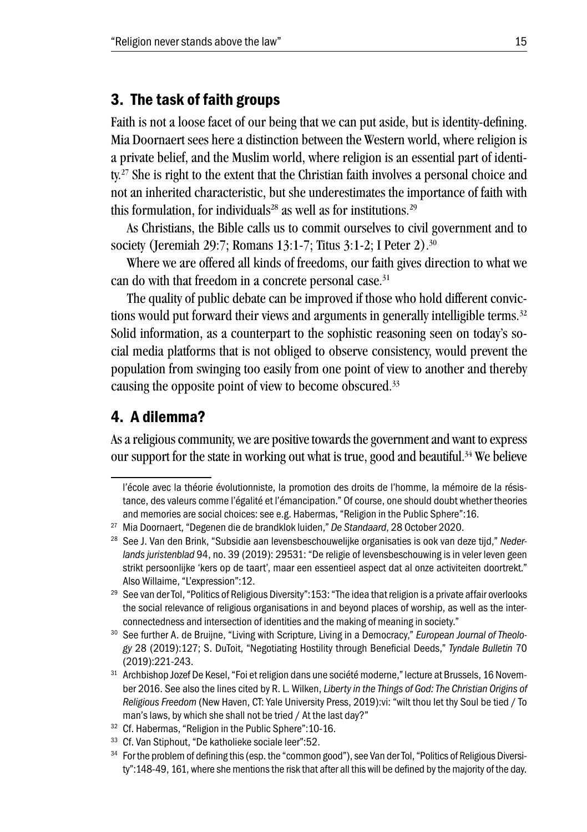#### 3. The task of faith groups

Faith is not a loose facet of our being that we can put aside, but is identity-defining. Mia Doornaert sees here a distinction between the Western world, where religion is a private belief, and the Muslim world, where religion is an essential part of identity.27 She is right to the extent that the Christian faith involves a personal choice and not an inherited characteristic, but she underestimates the importance of faith with this formulation, for individuals<sup>28</sup> as well as for institutions.<sup>29</sup>

As Christians, the Bible calls us to commit ourselves to civil government and to society (Jeremiah 29:7; Romans 13:1-7; Titus 3:1-2; I Peter 2).30

Where we are offered all kinds of freedoms, our faith gives direction to what we can do with that freedom in a concrete personal case.<sup>31</sup>

The quality of public debate can be improved if those who hold different convictions would put forward their views and arguments in generally intelligible terms.<sup>32</sup> Solid information, as a counterpart to the sophistic reasoning seen on today's social media platforms that is not obliged to observe consistency, would prevent the population from swinging too easily from one point of view to another and thereby causing the opposite point of view to become obscured.33

### 4. A dilemma?

As a religious community, we are positive towards the government and want to express our support for the state in working out what is true, good and beautiful.<sup>34</sup> We believe

l'école avec la théorie évolutionniste, la promotion des droits de l'homme, la mémoire de la résistance, des valeurs comme l'égalité et l'émancipation." Of course, one should doubt whether theories and memories are social choices: see e.g. Habermas, "Religion in the Public Sphere":16.

<sup>27</sup> Mia Doornaert, "Degenen die de brandklok luiden," *De Standaard*, 28 October 2020.

<sup>28</sup> See J. Van den Brink, "Subsidie aan levensbeschouwelijke organisaties is ook van deze tijd," *Nederlands juristenblad* 94, no. 39 (2019): 29531: "De religie of levensbeschouwing is in veler leven geen strikt persoonlijke 'kers op de taart', maar een essentieel aspect dat al onze activiteiten doortrekt." Also Willaime, "L'expression":12.

<sup>&</sup>lt;sup>29</sup> See van der Tol, "Politics of Religious Diversity": 153: "The idea that religion is a private affair overlooks the social relevance of religious organisations in and beyond places of worship, as well as the interconnectedness and intersection of identities and the making of meaning in society."

<sup>30</sup> See further A. de Bruijne, "Living with Scripture, Living in a Democracy," *European Journal of Theology* 28 (2019):127; S. DuToit, "Negotiating Hostility through Beneficial Deeds," *Tyndale Bulletin* 70 (2019):221-243.

<sup>31</sup> Archbishop Jozef De Kesel, "Foi et religion dans une société moderne," lecture at Brussels, 16 November 2016. See also the lines cited by R. L. Wilken, *Liberty in the Things of God: The Christian Origins of Religious Freedom* (New Haven, CT: Yale University Press, 2019):vi: "wilt thou let thy Soul be tied / To man's laws, by which she shall not be tried / At the last day?"

<sup>32</sup> Cf. Habermas, "Religion in the Public Sphere":10-16.

<sup>33</sup> Cf. Van Stiphout, "De katholieke sociale leer":52.

<sup>&</sup>lt;sup>34</sup> For the problem of defining this (esp. the "common good"), see Van der Tol, "Politics of Religious Diversity":148-49, 161, where she mentions the risk that after all this will be defined by the majority of the day.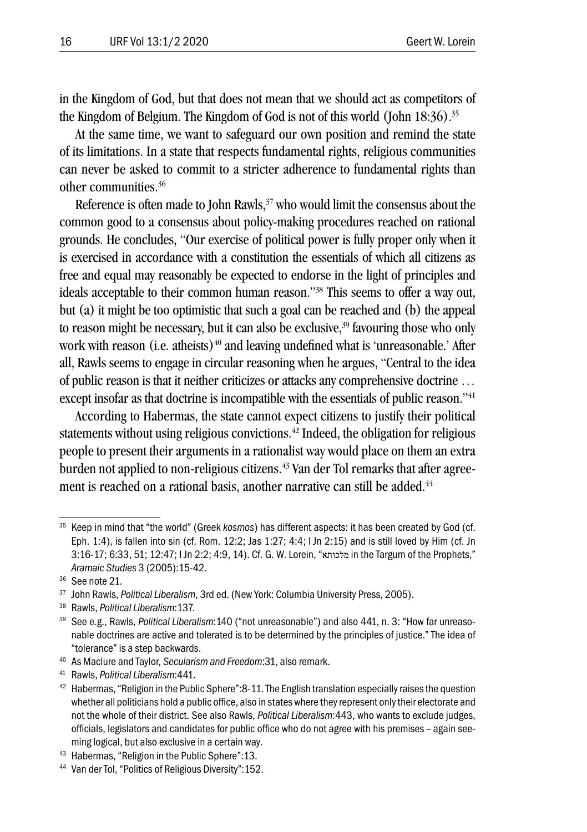in the Kingdom of God, but that does not mean that we should act as competitors of the Kingdom of Belgium. The Kingdom of God is not of this world (John 18:36).35

At the same time, we want to safeguard our own position and remind the state of its limitations. In a state that respects fundamental rights, religious communities can never be asked to commit to a stricter adherence to fundamental rights than other communities.36

Reference is often made to John Rawls,<sup>37</sup> who would limit the consensus about the common good to a consensus about policy-making procedures reached on rational grounds. He concludes, "Our exercise of political power is fully proper only when it is exercised in accordance with a constitution the essentials of which all citizens as free and equal may reasonably be expected to endorse in the light of principles and ideals acceptable to their common human reason."38 This seems to offer a way out, but (a) it might be too optimistic that such a goal can be reached and (b) the appeal to reason might be necessary, but it can also be exclusive.<sup>39</sup> favouring those who only work with reason (i.e. atheists) $40$  and leaving undefined what is 'unreasonable.' After all, Rawls seems to engage in circular reasoning when he argues, "Central to the idea of public reason is that it neither criticizes or attacks any comprehensive doctrine … except insofar as that doctrine is incompatible with the essentials of public reason."<sup>41</sup>

According to Habermas, the state cannot expect citizens to justify their political statements without using religious convictions.<sup>42</sup> Indeed, the obligation for religious people to present their arguments in a rationalist way would place on them an extra burden not applied to non-religious citizens.<sup>43</sup> Van der Tol remarks that after agreement is reached on a rational basis, another narrative can still be added.<sup>44</sup>

<sup>35</sup> Keep in mind that "the world" (Greek *kosmos*) has different aspects: it has been created by God (cf. Eph. 1:4), is fallen into sin (cf. Rom. 12:2; Jas 1:27; 4:4; I Jn 2:15) and is still loved by Him (cf. Jn 3:16-17; 6:33, 51; 12:47; I Jn 2:2; 4:9, 14). Cf. G. W. Lorein, "מלכותא in the Targum of the Prophets," *Aramaic Studies* 3 (2005):15-42.

<sup>36</sup> See note 21.

<sup>37</sup> John Rawls, *Political Liberalism*, 3rd ed. (New York: Columbia University Press, 2005).

<sup>38</sup> Rawls, *Political Liberalism*:137.

<sup>39</sup> See e.g., Rawls, *Political Liberalism*:140 ("not unreasonable") and also 441, n. 3: "How far unreasonable doctrines are active and tolerated is to be determined by the principles of justice." The idea of "tolerance" is a step backwards.

<sup>40</sup> As Maclure and Taylor, *Secularism and Freedom*:31, also remark.

<sup>41</sup> Rawls, *Political Liberalism*:441.

 $42$  Habermas, "Religion in the Public Sphere": 8-11. The English translation especially raises the question whether all politicians hold a public office, also in states where they represent only their electorate and not the whole of their district. See also Rawls, *Political Liberalism*:443, who wants to exclude judges, officials, legislators and candidates for public office who do not agree with his premises – again seeming logical, but also exclusive in a certain way.

<sup>43</sup> Habermas, "Religion in the Public Sphere":13.

<sup>44</sup> Van der Tol, "Politics of Religious Diversity":152.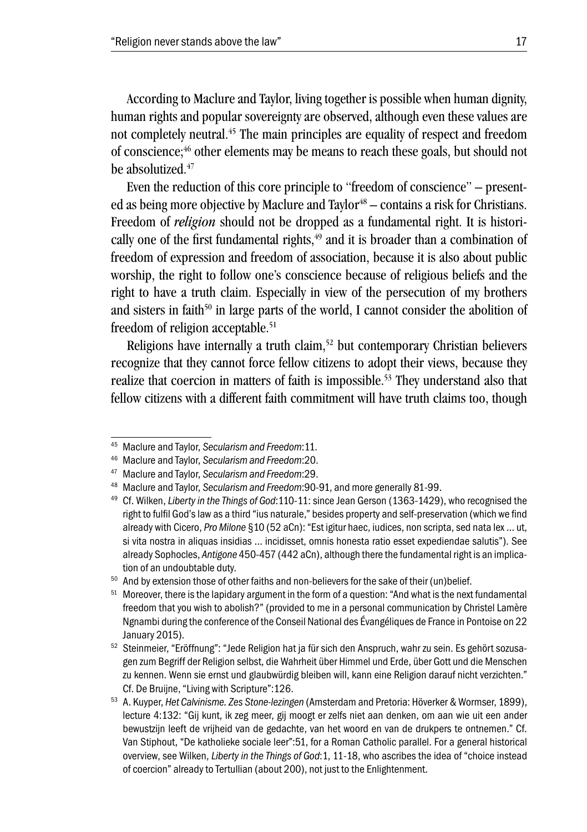According to Maclure and Taylor, living together is possible when human dignity, human rights and popular sovereignty are observed, although even these values are not completely neutral.45 The main principles are equality of respect and freedom of conscience:<sup>46</sup> other elements may be means to reach these goals, but should not be absolutized.<sup>47</sup>

Even the reduction of this core principle to "freedom of conscience" – presented as being more objective by Maclure and Taylor<sup>48</sup> – contains a risk for Christians. Freedom of *religion* should not be dropped as a fundamental right. It is historically one of the first fundamental rights, $49$  and it is broader than a combination of freedom of expression and freedom of association, because it is also about public worship, the right to follow one's conscience because of religious beliefs and the right to have a truth claim. Especially in view of the persecution of my brothers and sisters in faith<sup>50</sup> in large parts of the world, I cannot consider the abolition of freedom of religion acceptable.<sup>51</sup>

Religions have internally a truth claim,<sup>52</sup> but contemporary Christian believers recognize that they cannot force fellow citizens to adopt their views, because they realize that coercion in matters of faith is impossible.<sup>53</sup> They understand also that fellow citizens with a different faith commitment will have truth claims too, though

<sup>45</sup> Maclure and Taylor, *Secularism and Freedom*:11.

<sup>46</sup> Maclure and Taylor, *Secularism and Freedom*:20.

<sup>47</sup> Maclure and Taylor, *Secularism and Freedom*:29.

<sup>48</sup> Maclure and Taylor, *Secularism and Freedom*:90-91, and more generally 81-99.

<sup>49</sup> Cf. Wilken, *Liberty in the Things of God*:110-11: since Jean Gerson (1363-1429), who recognised the right to fulfil God's law as a third "ius naturale," besides property and self-preservation (which we find already with Cicero, *Pro Milone* §10 (52 aCn): "Est igitur haec, iudices, non scripta, sed nata lex … ut, si vita nostra in aliquas insidias … incidisset, omnis honesta ratio esset expediendae salutis"). See already Sophocles, *Antigone* 450-457 (442 aCn), although there the fundamental right is an implication of an undoubtable duty.

<sup>&</sup>lt;sup>50</sup> And by extension those of other faiths and non-believers for the sake of their (un)belief.

<sup>&</sup>lt;sup>51</sup> Moreover, there is the lapidary argument in the form of a question: "And what is the next fundamental freedom that you wish to abolish?" (provided to me in a personal communication by Christel Lamère Ngnambi during the conference of the Conseil National des Évangéliques de France in Pontoise on 22 January 2015).

<sup>52</sup> Steinmeier, "Eröffnung": "Jede Religion hat ja für sich den Anspruch, wahr zu sein. Es gehört sozusagen zum Begriff der Religion selbst, die Wahrheit über Himmel und Erde, über Gott und die Menschen zu kennen. Wenn sie ernst und glaubwürdig bleiben will, kann eine Religion darauf nicht verzichten." Cf. De Bruijne, "Living with Scripture":126.

<sup>53</sup> A. Kuyper, *Het Calvinisme. Zes Stone-lezingen* (Amsterdam and Pretoria: Höverker & Wormser, 1899), lecture 4:132: "Gij kunt, ik zeg meer, gij moogt er zelfs niet aan denken, om aan wie uit een ander bewustzijn leeft de vrijheid van de gedachte, van het woord en van de drukpers te ontnemen." Cf. Van Stiphout, "De katholieke sociale leer":51, for a Roman Catholic parallel. For a general historical overview, see Wilken, *Liberty in the Things of God*:1, 11-18, who ascribes the idea of "choice instead of coercion" already to Tertullian (about 200), not just to the Enlightenment.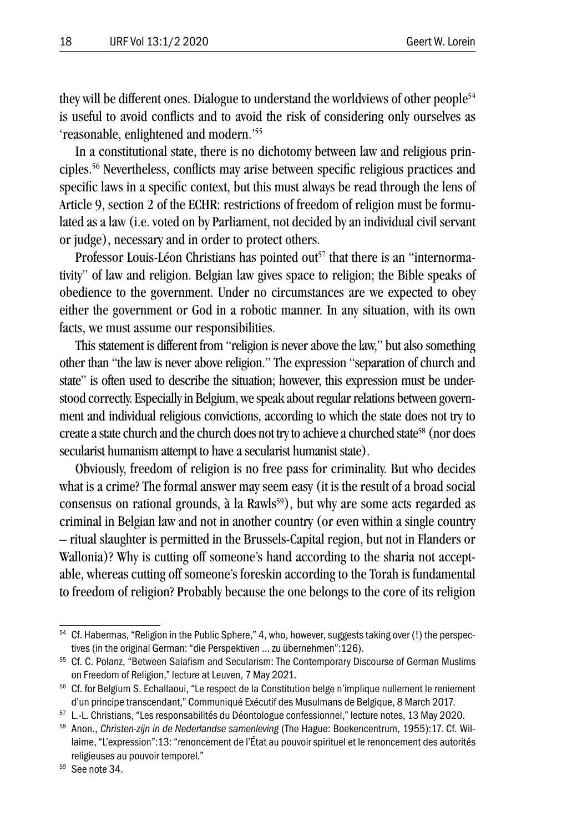they will be different ones. Dialogue to understand the worldviews of other people<sup>54</sup> is useful to avoid conflicts and to avoid the risk of considering only ourselves as 'reasonable, enlightened and modern.'55

In a constitutional state, there is no dichotomy between law and religious principles.56 Nevertheless, conflicts may arise between specific religious practices and specific laws in a specific context, but this must always be read through the lens of Article 9, section 2 of the ECHR: restrictions of freedom of religion must be formulated as a law (i.e. voted on by Parliament, not decided by an individual civil servant or judge), necessary and in order to protect others.

Professor Louis-Léon Christians has pointed out<sup>57</sup> that there is an "internormativity" of law and religion. Belgian law gives space to religion; the Bible speaks of obedience to the government. Under no circumstances are we expected to obey either the government or God in a robotic manner. In any situation, with its own facts, we must assume our responsibilities.

This statement is different from "religion is never above the law," but also something other than "the law is never above religion." The expression "separation of church and state" is often used to describe the situation; however, this expression must be understood correctly. Especially in Belgium, we speak about regular relations between government and individual religious convictions, according to which the state does not try to create a state church and the church does not try to achieve a churched state<sup>58</sup> (nor does secularist humanism attempt to have a secularist humanist state).

Obviously, freedom of religion is no free pass for criminality. But who decides what is a crime? The formal answer may seem easy (it is the result of a broad social consensus on rational grounds, à la Rawls<sup>59</sup>), but why are some acts regarded as criminal in Belgian law and not in another country (or even within a single country – ritual slaughter is permitted in the Brussels-Capital region, but not in Flanders or Wallonia)? Why is cutting off someone's hand according to the sharia not acceptable, whereas cutting off someone's foreskin according to the Torah is fundamental to freedom of religion? Probably because the one belongs to the core of its religion

<sup>&</sup>lt;sup>54</sup> Cf. Habermas, "Religion in the Public Sphere," 4, who, however, suggests taking over (!) the perspectives (in the original German: "die Perspektiven … zu übernehmen":126).

<sup>55</sup> Cf. C. Polanz, "Between Salafism and Secularism: The Contemporary Discourse of German Muslims on Freedom of Religion," lecture at Leuven, 7 May 2021.

<sup>56</sup> Cf. for Belgium S. Echallaoui, "Le respect de la Constitution belge n'implique nullement le reniement d'un principe transcendant," Communiqué Exécutif des Musulmans de Belgique, 8 March 2017.

<sup>57</sup> L.-L. Christians, "Les responsabilités du Déontologue confessionnel," lecture notes, 13 May 2020.

<sup>58</sup> Anon., *Christen-zijn in de Nederlandse samenleving* (The Hague: Boekencentrum, 1955):17. Cf. Willaime, "L'expression":13: "renoncement de l'État au pouvoir spirituel et le renoncement des autorités religieuses au pouvoir temporel."

<sup>59</sup> See note 34.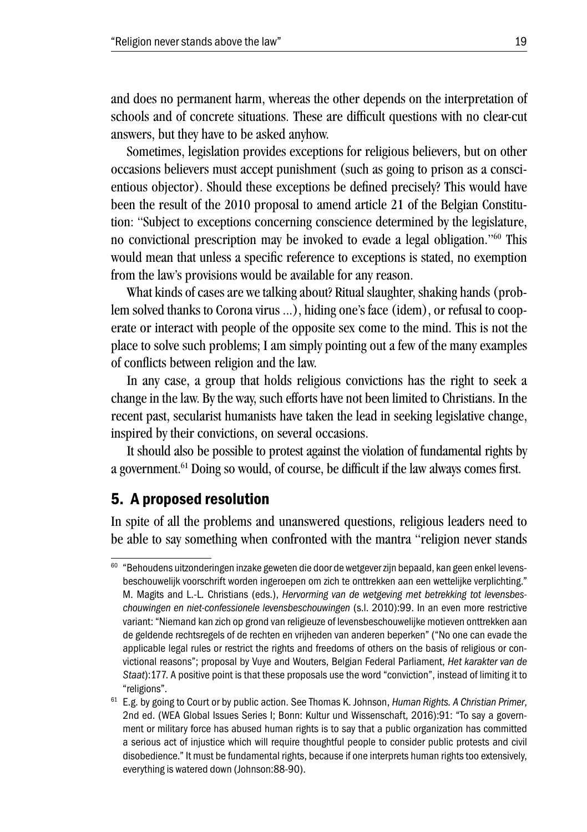and does no permanent harm, whereas the other depends on the interpretation of schools and of concrete situations. These are difficult questions with no clear-cut answers, but they have to be asked anyhow.

Sometimes, legislation provides exceptions for religious believers, but on other occasions believers must accept punishment (such as going to prison as a conscientious objector). Should these exceptions be defined precisely? This would have been the result of the 2010 proposal to amend article 21 of the Belgian Constitution: "Subject to exceptions concerning conscience determined by the legislature, no convictional prescription may be invoked to evade a legal obligation."60 This would mean that unless a specific reference to exceptions is stated, no exemption from the law's provisions would be available for any reason.

What kinds of cases are we talking about? Ritual slaughter, shaking hands (problem solved thanks to Corona virus ...), hiding one's face (idem), or refusal to cooperate or interact with people of the opposite sex come to the mind. This is not the place to solve such problems; I am simply pointing out a few of the many examples of conflicts between religion and the law.

In any case, a group that holds religious convictions has the right to seek a change in the law. By the way, such efforts have not been limited to Christians. In the recent past, secularist humanists have taken the lead in seeking legislative change, inspired by their convictions, on several occasions.

It should also be possible to protest against the violation of fundamental rights by a government.<sup>61</sup> Doing so would, of course, be difficult if the law always comes first.

## 5. A proposed resolution

In spite of all the problems and unanswered questions, religious leaders need to be able to say something when confronted with the mantra "religion never stands

<sup>&</sup>lt;sup>60</sup> "Behoudens uitzonderingen inzake geweten die door de wetgever zijn bepaald, kan geen enkel levensbeschouwelijk voorschrift worden ingeroepen om zich te onttrekken aan een wettelijke verplichting." M. Magits and L.-L. Christians (eds.), *Hervorming van de wetgeving met betrekking tot levensbeschouwingen en niet-confessionele levensbeschouwingen* (s.l. 2010):99. In an even more restrictive variant: "Niemand kan zich op grond van religieuze of levensbeschouwelijke motieven onttrekken aan de geldende rechtsregels of de rechten en vrijheden van anderen beperken" ("No one can evade the applicable legal rules or restrict the rights and freedoms of others on the basis of religious or convictional reasons"; proposal by Vuye and Wouters, Belgian Federal Parliament, *Het karakter van de Staat*):177. A positive point is that these proposals use the word "conviction", instead of limiting it to "religions".

<sup>61</sup> E.g. by going to Court or by public action. See Thomas K. Johnson, *Human Rights. A Christian Primer*, 2nd ed. (WEA Global Issues Series I; Bonn: Kultur und Wissenschaft, 2016):91: "To say a government or military force has abused human rights is to say that a public organization has committed a serious act of injustice which will require thoughtful people to consider public protests and civil disobedience." It must be fundamental rights, because if one interprets human rights too extensively, everything is watered down (Johnson:88-90).